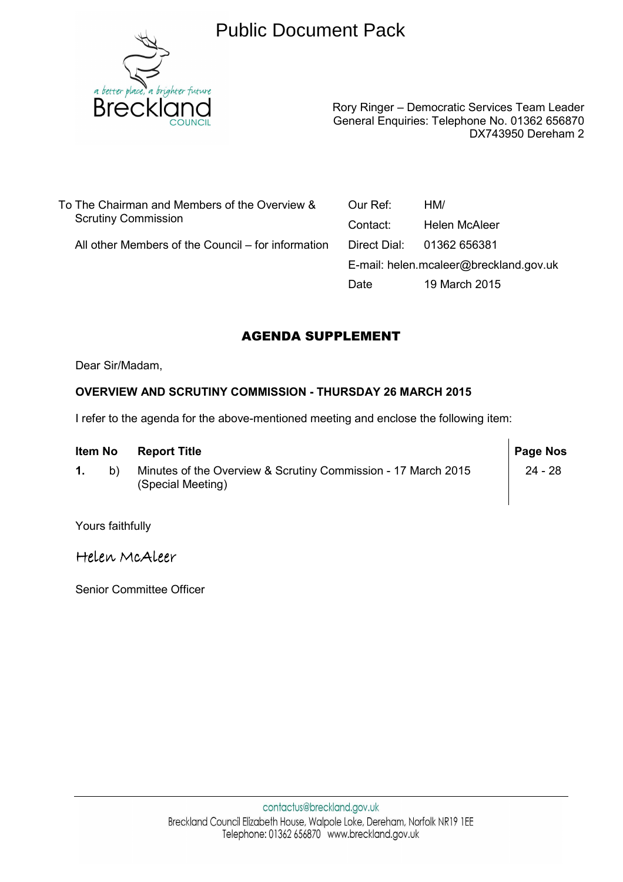

# Public Document Pack

Rory Ringer – Democratic Services Team Leader General Enquiries: Telephone No. 01362 656870 DX743950 Dereham 2

To The Chairman and Members of the Overview & Scrutiny Commission

All other Members of the Council – for information

Our Ref: HM/ Contact: Helen McAleer Direct Dial: 01362 656381 E-mail: helen.mcaleer@breckland.gov.uk Date 19 March 2015

## AGENDA SUPPLEMENT

Dear Sir/Madam,

## **OVERVIEW AND SCRUTINY COMMISSION - THURSDAY 26 MARCH 2015**

I refer to the agenda for the above-mentioned meeting and enclose the following item:

| Item No |    | <b>Report Title</b>                                                                | <b>Page Nos</b> |
|---------|----|------------------------------------------------------------------------------------|-----------------|
|         | b) | Minutes of the Overview & Scrutiny Commission - 17 March 2015<br>(Special Meeting) | 24 - 28         |

Yours faithfully

Helen McAleer

Senior Committee Officer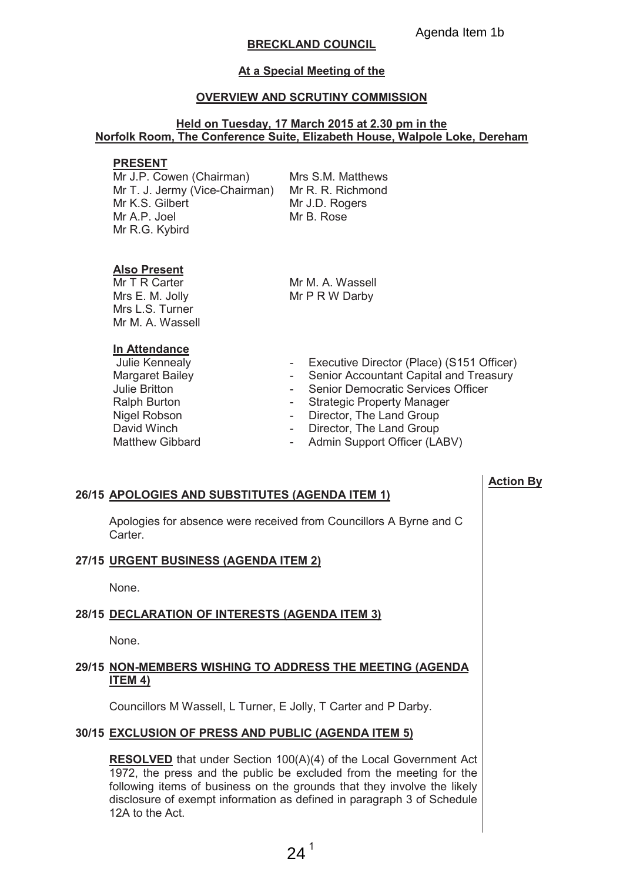### **BRECKLAND COUNCIL**

#### At a Special Meeting of the

#### **OVERVIEW AND SCRUTINY COMMISSION**

#### Held on Tuesday, 17 March 2015 at 2.30 pm in the Norfolk Room, The Conference Suite, Elizabeth House, Walpole Loke, Dereham

#### **PRESENT**

Mr J.P. Cowen (Chairman) Mr T. J. Jermy (Vice-Chairman) Mr R. R. Richmond Mr K.S. Gilbert Mr A.P. Joel Mr R.G. Kybird

Mrs S.M. Matthews Mr J.D. Rogers Mr B. Rose

#### **Also Present**

Mr T R Carter Mrs E. M. Jolly Mrs L.S. Turner Mr M. A. Wassell

Mr M A Wassell Mr P R W Darby

#### In Attendance

- Julie Kennealy **Margaret Bailey** Julie Britton Ralph Burton Nigel Robson David Winch Matthew Gibbard
- $\omega_{\rm{max}}$ Executive Director (Place) (S151 Officer)
- Senior Accountant Capital and Treasury
- Senior Democratic Services Officer
- Strategic Property Manager
- Director, The Land Group
- Director, The Land Group
- Admin Support Officer (LABV)

#### 26/15 APOLOGIES AND SUBSTITUTES (AGENDA ITEM 1)

Apologies for absence were received from Councillors A Byrne and C Carter

#### 27/15 URGENT BUSINESS (AGENDA ITEM 2)

None.

#### 28/15 DECLARATION OF INTERESTS (AGENDA ITEM 3)

None.

#### 29/15 NON-MEMBERS WISHING TO ADDRESS THE MEETING (AGENDA ITEM 4)

Councillors M Wassell, L Turner, E Jolly, T Carter and P Darby.

#### 30/15 EXCLUSION OF PRESS AND PUBLIC (AGENDA ITEM 5)

**RESOLVED** that under Section 100(A)(4) of the Local Government Act 1972, the press and the public be excluded from the meeting for the following items of business on the grounds that they involve the likely disclosure of exempt information as defined in paragraph 3 of Schedule 12A to the Act.

**Action By**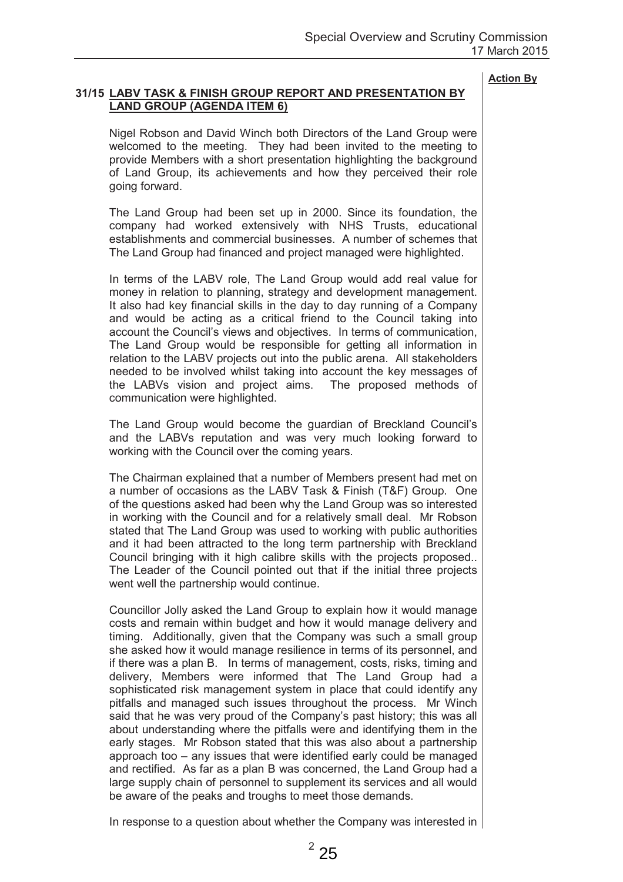#### 31/15 LABV TASK & FINISH GROUP REPORT AND PRESENTATION BY **LAND GROUP (AGENDA ITEM 6)**

Nigel Robson and David Winch both Directors of the Land Group were welcomed to the meeting. They had been invited to the meeting to provide Members with a short presentation highlighting the background of Land Group, its achievements and how they perceived their role going forward.

The Land Group had been set up in 2000. Since its foundation, the company had worked extensively with NHS Trusts, educational establishments and commercial businesses. A number of schemes that The Land Group had financed and project managed were highlighted.

In terms of the LABV role, The Land Group would add real value for money in relation to planning, strategy and development management. It also had key financial skills in the day to day running of a Company and would be acting as a critical friend to the Council taking into account the Council's views and objectives. In terms of communication, The Land Group would be responsible for getting all information in relation to the LABV projects out into the public arena. All stakeholders needed to be involved whilst taking into account the key messages of the LABVs vision and project aims. The proposed methods of communication were highlighted.

The Land Group would become the guardian of Breckland Council's and the LABVs reputation and was very much looking forward to working with the Council over the coming years.

The Chairman explained that a number of Members present had met on a number of occasions as the LABV Task & Finish (T&F) Group. One of the questions asked had been why the Land Group was so interested in working with the Council and for a relatively small deal. Mr Robson stated that The Land Group was used to working with public authorities and it had been attracted to the long term partnership with Breckland Council bringing with it high calibre skills with the projects proposed.. The Leader of the Council pointed out that if the initial three projects went well the partnership would continue.

Councillor Jolly asked the Land Group to explain how it would manage costs and remain within budget and how it would manage delivery and timing. Additionally, given that the Company was such a small group she asked how it would manage resilience in terms of its personnel, and if there was a plan B. In terms of management, costs, risks, timing and delivery, Members were informed that The Land Group had a sophisticated risk management system in place that could identify any pitfalls and managed such issues throughout the process. Mr Winch said that he was very proud of the Company's past history; this was all about understanding where the pitfalls were and identifying them in the early stages. Mr Robson stated that this was also about a partnership approach too – any issues that were identified early could be managed and rectified. As far as a plan B was concerned, the Land Group had a large supply chain of personnel to supplement its services and all would be aware of the peaks and troughs to meet those demands.

In response to a question about whether the Company was interested in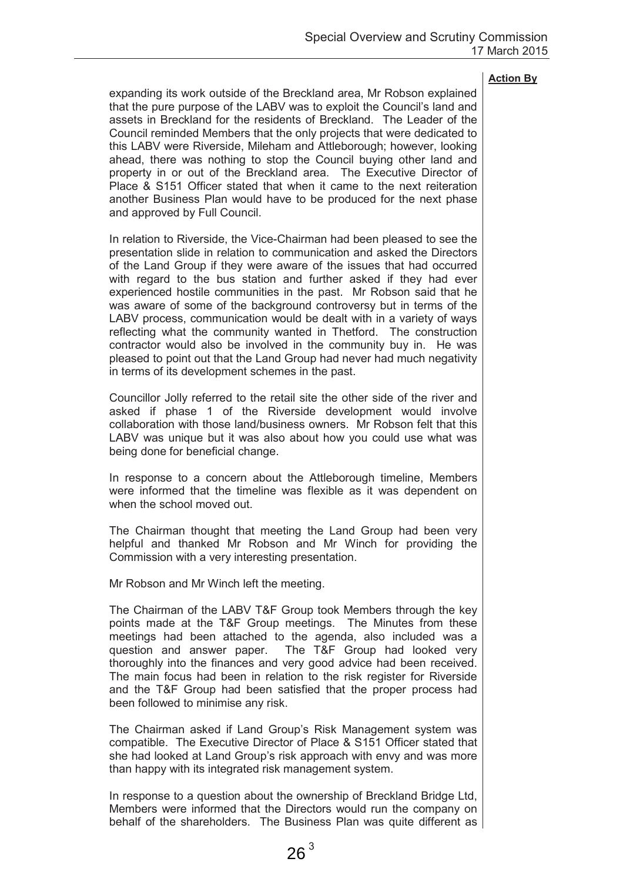expanding its work outside of the Breckland area. Mr Robson explained that the pure purpose of the LABV was to exploit the Council's land and assets in Breckland for the residents of Breckland. The Leader of the Council reminded Members that the only projects that were dedicated to this LABV were Riverside. Mileham and Attleborough: however, looking ahead, there was nothing to stop the Council buying other land and property in or out of the Breckland area. The Executive Director of Place & S151 Officer stated that when it came to the next reiteration another Business Plan would have to be produced for the next phase and approved by Full Council.

In relation to Riverside, the Vice-Chairman had been pleased to see the presentation slide in relation to communication and asked the Directors of the Land Group if they were aware of the issues that had occurred with regard to the bus station and further asked if they had ever experienced hostile communities in the past. Mr Robson said that he was aware of some of the background controversy but in terms of the LABV process, communication would be dealt with in a variety of ways reflecting what the community wanted in Thetford. The construction contractor would also be involved in the community buy in. He was pleased to point out that the Land Group had never had much negativity in terms of its development schemes in the past.

Councillor Jolly referred to the retail site the other side of the river and asked if phase 1 of the Riverside development would involve collaboration with those land/business owners. Mr Robson felt that this LABV was unique but it was also about how you could use what was being done for beneficial change.

In response to a concern about the Attleborough timeline. Members were informed that the timeline was flexible as it was dependent on when the school moved out.

The Chairman thought that meeting the Land Group had been very helpful and thanked Mr Robson and Mr Winch for providing the Commission with a very interesting presentation.

Mr Robson and Mr Winch left the meeting.

The Chairman of the LABV T&F Group took Members through the key points made at the T&F Group meetings. The Minutes from these meetings had been attached to the agenda, also included was a question and answer paper. The T&F Group had looked very thoroughly into the finances and very good advice had been received. The main focus had been in relation to the risk register for Riverside and the T&F Group had been satisfied that the proper process had been followed to minimise any risk.

The Chairman asked if Land Group's Risk Management system was compatible. The Executive Director of Place & S151 Officer stated that she had looked at Land Group's risk approach with envy and was more than happy with its integrated risk management system.

In response to a question about the ownership of Breckland Bridge Ltd, Members were informed that the Directors would run the company on behalf of the shareholders. The Business Plan was quite different as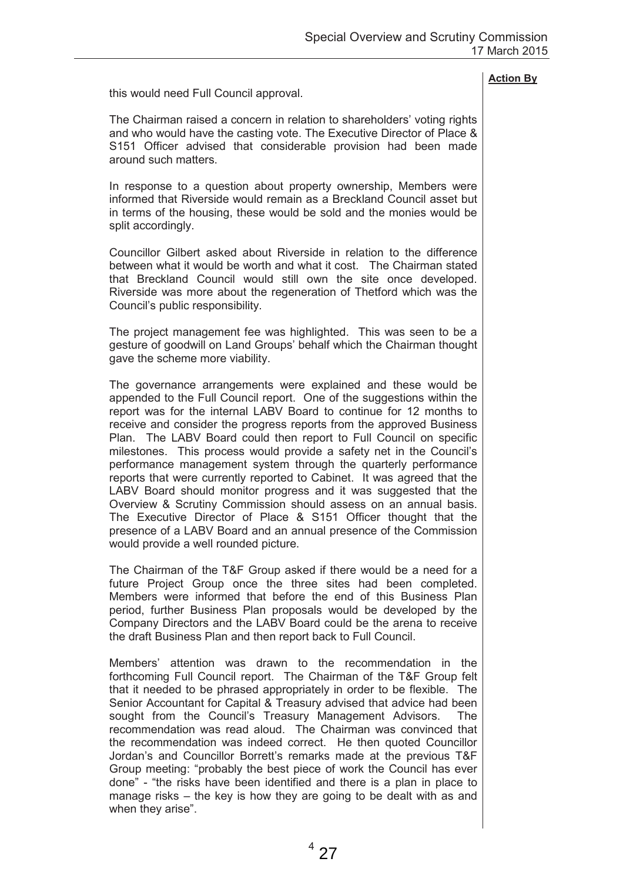this would need Full Council approval.

The Chairman raised a concern in relation to shareholders' voting rights and who would have the casting vote. The Executive Director of Place & S151 Officer advised that considerable provision had been made around such matters

In response to a question about property ownership, Members were informed that Riverside would remain as a Breckland Council asset but in terms of the housing, these would be sold and the monies would be split accordingly.

Councillor Gilbert asked about Riverside in relation to the difference between what it would be worth and what it cost. The Chairman stated that Breckland Council would still own the site once developed. Riverside was more about the regeneration of Thetford which was the Council's public responsibility.

The project management fee was highlighted. This was seen to be a gesture of goodwill on Land Groups' behalf which the Chairman thought gave the scheme more viability.

The governance arrangements were explained and these would be appended to the Full Council report. One of the suggestions within the report was for the internal LABV Board to continue for 12 months to receive and consider the progress reports from the approved Business Plan. The LABV Board could then report to Full Council on specific milestones. This process would provide a safety net in the Council's performance management system through the quarterly performance reports that were currently reported to Cabinet. It was agreed that the LABV Board should monitor progress and it was suggested that the Overview & Scrutiny Commission should assess on an annual basis. The Executive Director of Place & S151 Officer thought that the presence of a LABV Board and an annual presence of the Commission would provide a well rounded picture.

The Chairman of the T&F Group asked if there would be a need for a future Project Group once the three sites had been completed. Members were informed that before the end of this Business Plan period, further Business Plan proposals would be developed by the Company Directors and the LABV Board could be the arena to receive the draft Business Plan and then report back to Full Council.

Members' attention was drawn to the recommendation in the forthcoming Full Council report. The Chairman of the T&F Group felt that it needed to be phrased appropriately in order to be flexible. The Senior Accountant for Capital & Treasury advised that advice had been sought from the Council's Treasury Management Advisors. **The** recommendation was read aloud. The Chairman was convinced that the recommendation was indeed correct. He then quoted Councillor Jordan's and Councillor Borrett's remarks made at the previous T&F Group meeting: "probably the best piece of work the Council has ever done" - "the risks have been identified and there is a plan in place to manage risks – the key is how they are going to be dealt with as and when they arise".